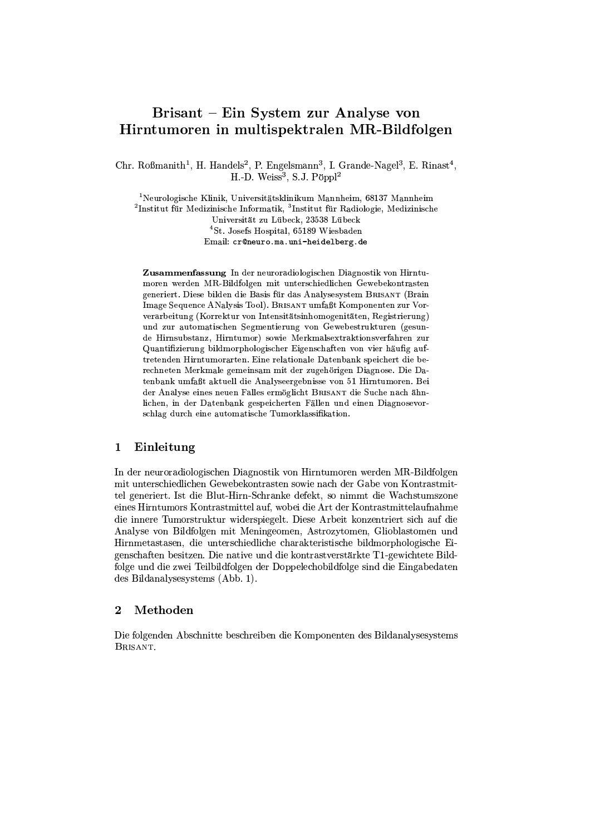# Brisant – Ein System zur Analyse von Hirntumoren in multispektralen MR-Bildfolgen

Chr. Roßmanith<sup>1</sup>, H. Handels<sup>2</sup>, P. Engelsmann<sup>3</sup>, I. Grande-Nagel<sup>3</sup>, E. Rinast<sup>4</sup>, H.-D. Weiss<sup>3</sup>, S.J. Pöppl<sup>2</sup>

<sup>1</sup>Neurologische Klinik, Universitätsklinikum Mannheim, 68137 Mannheim  ${}^{2}$ Institut für Medizinische Informatik,  ${}^{3}$ Institut für Radiologie, Medizinische Universität zu Lübeck, 23538 Lübeck <sup>4</sup>St. Josefs Hospital, 65189 Wiesbaden Email: cr@neuro.ma.uni-heidelberg.de

Zusammenfassung In der neuroradiologischen Diagnostik von Hirntumoren werden MR-Bildfolgen mit unterschiedlichen Gewebekontrasten generiert. Diese bilden die Basis für das Analysesystem BRISANT (Brain Image Sequence ANalysis Tool). BRISANT umfaßt Komponenten zur Vorverarbeitung (Korrektur von Intensitätsinhomogenitäten, Registrierung) und zur automatischen Segmentierung von Gewebestrukturen (gesunde Hirnsubstanz, Hirntumor) sowie Merkmalsextraktionsverfahren zur Quantifizierung bildmorphologischer Eigenschaften von vier häufig auftretenden Hirntumorarten. Eine relationale Datenbank speichert die berechneten Merkmale gemeinsam mit der zugehörigen Diagnose. Die Datenbank umfaßt aktuell die Analyseergebnisse von 51 Hirntumoren. Bei der Analyse eines neuen Falles ermöglicht BRISANT die Suche nach ähnlichen, in der Datenbank gespeicherten Fällen und einen Diagnosevorschlag durch eine automatische Tumorklassifikation.

# Einleitung  $\mathbf 1$

In der neuroradiologischen Diagnostik von Hirntumoren werden MR-Bildfolgen mit unterschiedlichen Gewebekontrasten sowie nach der Gabe von Kontrastmittel generiert. Ist die Blut-Hirn-Schranke defekt, so nimmt die Wachstumszone eines Hirntumors Kontrastmittel auf, wobei die Art der Kontrastmittelaufnahme die innere Tumorstruktur widerspiegelt. Diese Arbeit konzentriert sich auf die Analyse von Bildfolgen mit Meningeomen, Astrozytomen, Glioblastomen und Hirnmetastasen, die unterschiedliche charakteristische bildmorphologische Eigenschaften besitzen. Die native und die kontrastverstärkte T1-gewichtete Bildfolge und die zwei Teilbildfolgen der Doppelechobildfolge sind die Eingabedaten des Bildanalysesystems (Abb. 1).

#### $\overline{2}$ Methoden

Die folgenden Abschnitte beschreiben die Komponenten des Bildanalysesystems BRISANT.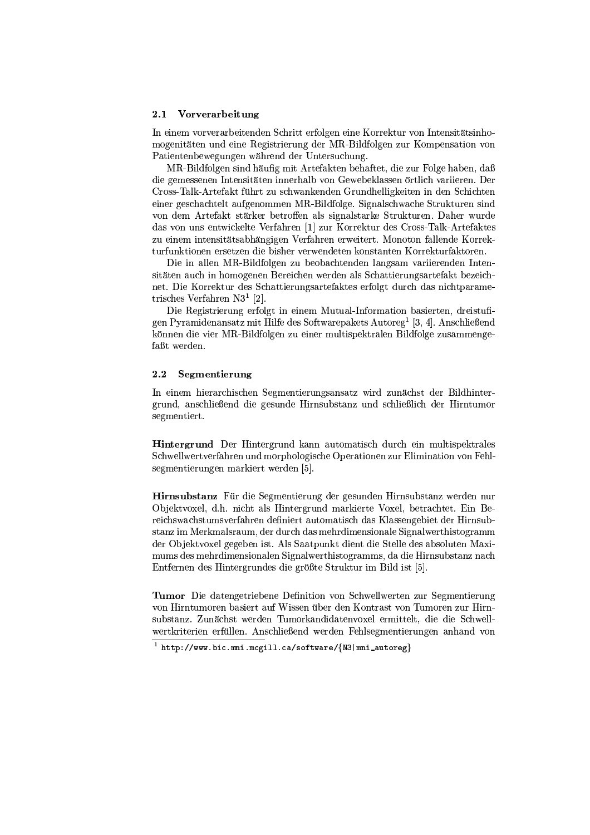#### $2.1$ Vorverarbeitung

In einem vorverarbeitenden Schritt erfolgen eine Korrektur von Intensitätsinhomogenitäten und eine Registrierung der MR-Bildfolgen zur Kompensation von Patientenbewegungen während der Untersuchung.

MR-Bildfolgen sind häufig mit Artefakten behaftet, die zur Folge haben, daß die gemessenen Intensitäten innerhalb von Gewebeklassen örtlich variieren. Der Cross-Talk-Artefakt führt zu schwankenden Grundhelligkeiten in den Schichten einer geschachtelt aufgenommen MR-Bildfolge. Signalschwache Strukturen sind von dem Artefakt stärker betroffen als signalstarke Strukturen. Daher wurde das von uns entwickelte Verfahren [1] zur Korrektur des Cross-Talk-Artefaktes zu einem intensitätsabhängigen Verfahren erweitert. Monoton fallende Korrekturfunktionen ersetzen die bisher verwendeten konstanten Korrekturfaktoren.

Die in allen MR-Bildfolgen zu beobachtenden langsam variierenden Intensitäten auch in homogenen Bereichen werden als Schattierungsartefakt bezeichnet. Die Korrektur des Schattierungsartefaktes erfolgt durch das nichtparametrisches Verfahren  $N3<sup>1</sup>$  [2].

Die Registrierung erfolgt in einem Mutual-Information basierten, dreistufigen Pyramidenansatz mit Hilfe des Softwarepakets Autoreg<sup>1</sup> [3, 4]. Anschließend können die vier MR-Bildfolgen zu einer multispektralen Bildfolge zusammengefaßt werden.

#### $2.2$ Segmentierung

In einem hierarchischen Segmentierungsansatz wird zunächst der Bildhintergrund, anschließend die gesunde Hirnsubstanz und schließlich der Hirntumor segmentiert.

**Hintergrund** Der Hintergrund kann automatisch durch ein multispektrales Schwellwertverfahren und morphologische Operationen zur Elimination von Fehlsegmentierungen markiert werden [5].

Hirnsubstanz Für die Segmentierung der gesunden Hirnsubstanz werden nur Objektvoxel, d.h. nicht als Hintergrund markierte Voxel, betrachtet. Ein Bereichswachstumsverfahren definiert automatisch das Klassengebiet der Hirnsubstanz im Merkmalsraum, der durch das mehrdimensionale Signalwerthistogramm der Objektvoxel gegeben ist. Als Saatpunkt dient die Stelle des absoluten Maximums des mehrdimensionalen Signalwerthistogramms, da die Hirnsubstanz nach Entfernen des Hintergrundes die größte Struktur im Bild ist [5].

Tumor Die datengetriebene Definition von Schwellwerten zur Segmentierung von Hirntumoren basiert auf Wissen über den Kontrast von Tumoren zur Hirnsubstanz. Zunächst werden Tumorkandidatenvoxel ermittelt, die die Schwellwertkriterien erfüllen. Anschließend werden Fehlsegmentierungen anhand von

 $\frac{1}{1}$  http://www.bic.mni.mcgill.ca/software/{N3|mni\_autoreg}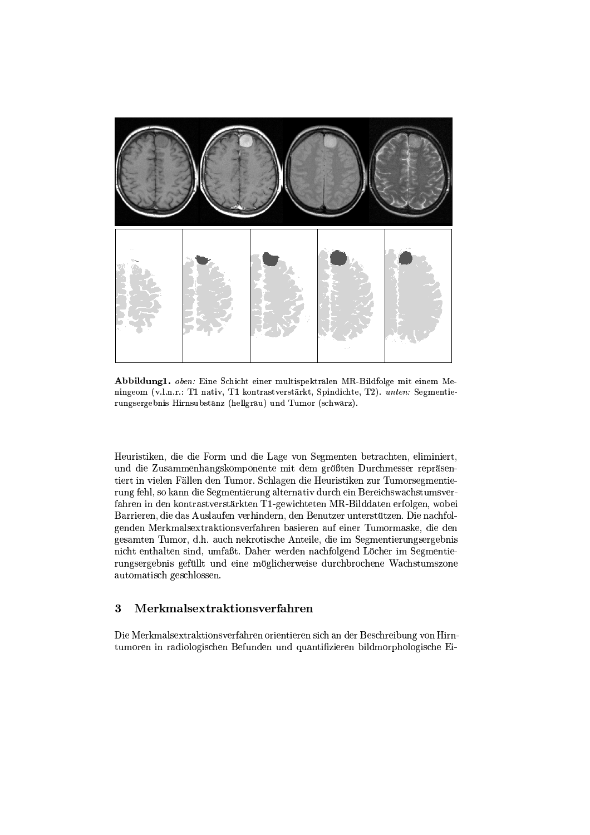

Abbildung1. oben: Eine Schicht einer multispektralen MR-Bildfolge mit einem Meningeom (v.l.n.r.: T1 nativ, T1 kontrastverstärkt, Spindichte, T2). unten: Segmentierungsergebnis Hirnsubstanz (hellgrau) und Tumor (schwarz).

Heuristiken, die die Form und die Lage von Segmenten betrachten, eliminiert, und die Zusammenhangskomponente mit dem größten Durchmesser repräsentiert in vielen Fällen den Tumor. Schlagen die Heuristiken zur Tumorsegmentierung fehl, so kann die Segmentierung alternativ durch ein Bereichswachstumsverfahren in den kontrastverstärkten T1-gewichteten MR-Bilddaten erfolgen, wobei Barrieren, die das Auslaufen verhindern, den Benutzer unterstützen. Die nachfolgenden Merkmalsextraktionsverfahren basieren auf einer Tumormaske, die den gesamten Tumor, d.h. auch nekrotische Anteile, die im Segmentierungsergebnis nicht enthalten sind, umfaßt. Daher werden nachfolgend Löcher im Segmentierungsergebnis gefüllt und eine möglicherweise durchbrochene Wachstumszone automatisch geschlossen.

# Merkmalsextraktionsverfahren  $\bf{3}$

Die Merkmalsextraktionsverfahren orientieren sich an der Beschreibung von Hirntumoren in radiologischen Befunden und quantifizieren bildmorphologische Ei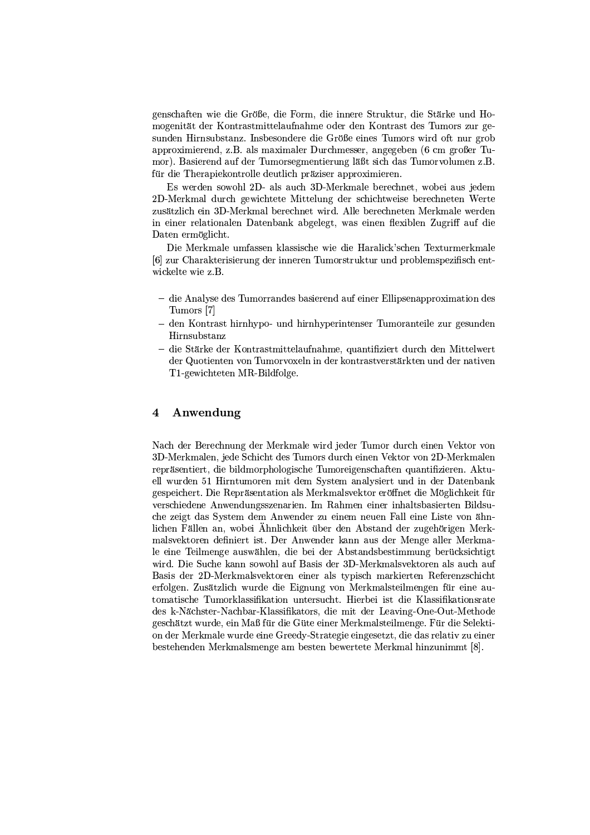genschaften wie die Größe, die Form, die innere Struktur, die Stärke und Homogenität der Kontrastmittelaufnahme oder den Kontrast des Tumors zur gesunden Hirnsubstanz. Insbesondere die Größe eines Tumors wird oft nur grob approximierend, z.B. als maximaler Durchmesser, angegeben (6 cm großer Tumor). Basierend auf der Tumorsegmentierung läßt sich das Tumorvolumen z.B. für die Therapiekontrolle deutlich präziser approximieren.

Es werden sowohl 2D- als auch 3D-Merkmale berechnet, wobei aus jedem 2D-Merkmal durch gewichtete Mittelung der schichtweise berechneten Werte zusätzlich ein 3D-Merkmal berechnet wird. Alle berechneten Merkmale werden in einer relationalen Datenbank abgelegt, was einen flexiblen Zugriff auf die Daten ermöglicht.

Die Merkmale umfassen klassische wie die Haralick'schen Texturmerkmale [6] zur Charakterisierung der inneren Tumorstruktur und problemspezifisch entwickelte wie z.B.

- die Analyse des Tumorrandes basierend auf einer Ellipsenapproximation des Tumors [7]
- den Kontrast hirnhypo- und hirnhyperintenser Tumoranteile zur gesunden Hirnsubstanz
- die Stärke der Kontrastmittelaufnahme, quantifiziert durch den Mittelwert der Quotienten von Tumorvoxeln in der kontrastverstärkten und der nativen T1-gewichteten MR-Bildfolge.

## Anwendung 4

Nach der Berechnung der Merkmale wird jeder Tumor durch einen Vektor von 3D-Merkmalen, jede Schicht des Tumors durch einen Vektor von 2D-Merkmalen repräsentiert, die bildmorphologische Tumoreigenschaften quantifizieren. Aktuell wurden 51 Hirntumoren mit dem System analysiert und in der Datenbank gespeichert. Die Repräsentation als Merkmalsvektor eröffnet die Möglichkeit für verschiedene Anwendungsszenarien. Im Rahmen einer inhaltsbasierten Bildsuche zeigt das System dem Anwender zu einem neuen Fall eine Liste von ähnlichen Fällen an, wobei Ähnlichkeit über den Abstand der zugehörigen Merkmalsvektoren definiert ist. Der Anwender kann aus der Menge aller Merkmale eine Teilmenge auswählen, die bei der Abstandsbestimmung berücksichtigt wird. Die Suche kann sowohl auf Basis der 3D-Merkmalsvektoren als auch auf Basis der 2D-Merkmalsvektoren einer als typisch markierten Referenzschicht erfolgen. Zusätzlich wurde die Eignung von Merkmalsteilmengen für eine automatische Tumorklassifikation untersucht. Hierbei ist die Klassifikationsrate des k-Nächster-Nachbar-Klassifikators, die mit der Leaving-One-Out-Methode geschätzt wurde, ein Maß für die Güte einer Merkmalsteilmenge. Für die Selektion der Merkmale wurde eine Greedy-Strategie eingesetzt, die das relativ zu einer bestehenden Merkmalsmenge am besten bewertete Merkmal hinzunimmt [8].